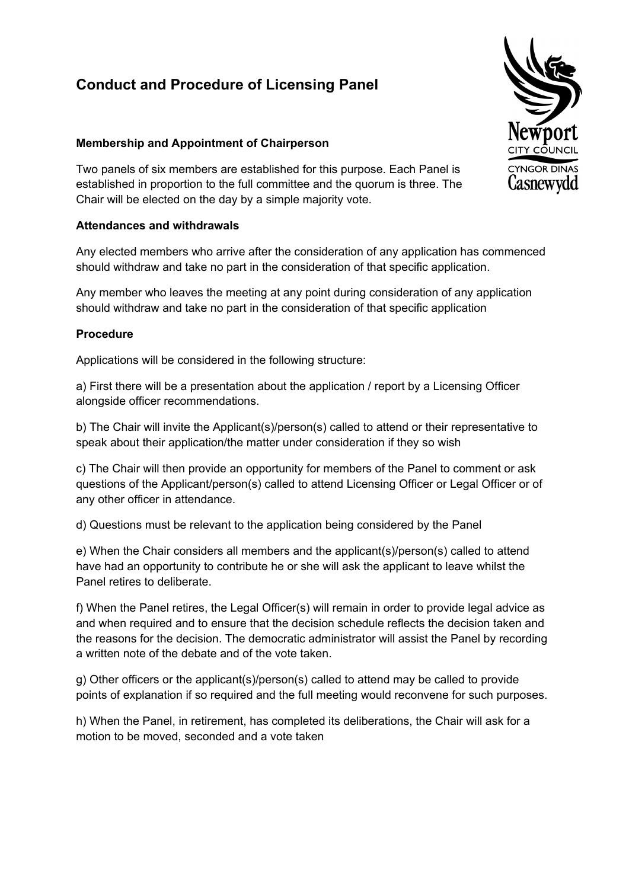## **Conduct and Procedure of Licensing Panel**

## **Membership and Appointment of Chairperson**

Two panels of six members are established for this purpose. Each Panel is established in proportion to the full committee and the quorum is three. The Chair will be elected on the day by a simple majority vote.

## **Attendances and withdrawals**

Any elected members who arrive after the consideration of any application has commenced should withdraw and take no part in the consideration of that specific application.

Any member who leaves the meeting at any point during consideration of any application should withdraw and take no part in the consideration of that specific application

## **Procedure**

Applications will be considered in the following structure:

a) First there will be a presentation about the application / report by a Licensing Officer alongside officer recommendations.

b) The Chair will invite the Applicant(s)/person(s) called to attend or their representative to speak about their application/the matter under consideration if they so wish

c) The Chair will then provide an opportunity for members of the Panel to comment or ask questions of the Applicant/person(s) called to attend Licensing Officer or Legal Officer or of any other officer in attendance.

d) Questions must be relevant to the application being considered by the Panel

e) When the Chair considers all members and the applicant(s)/person(s) called to attend have had an opportunity to contribute he or she will ask the applicant to leave whilst the Panel retires to deliberate.

f) When the Panel retires, the Legal Officer(s) will remain in order to provide legal advice as and when required and to ensure that the decision schedule reflects the decision taken and the reasons for the decision. The democratic administrator will assist the Panel by recording a written note of the debate and of the vote taken.

g) Other officers or the applicant(s)/person(s) called to attend may be called to provide points of explanation if so required and the full meeting would reconvene for such purposes.

h) When the Panel, in retirement, has completed its deliberations, the Chair will ask for a motion to be moved, seconded and a vote taken